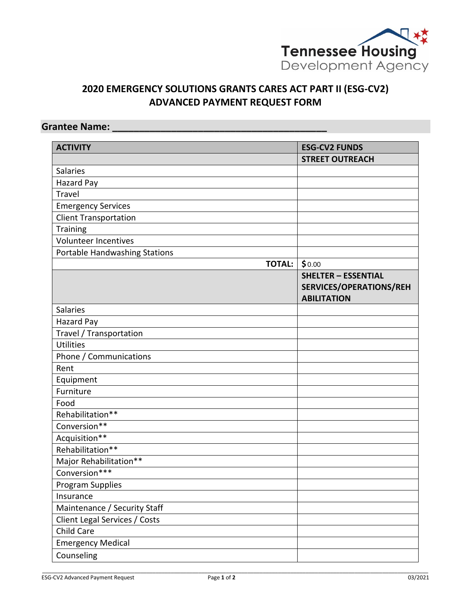

# **2020 EMERGENCY SOLUTIONS GRANTS CARES ACT PART II (ESG-CV2) ADVANCED PAYMENT REQUEST FORM**

## **Grantee Name: \_\_\_\_\_\_\_\_\_\_\_\_\_\_\_\_\_\_\_\_\_\_\_\_\_\_\_\_\_\_\_\_\_\_\_\_\_\_\_\_**

| <b>ACTIVITY</b>               | <b>ESG-CV2 FUNDS</b>                                                        |
|-------------------------------|-----------------------------------------------------------------------------|
|                               | <b>STREET OUTREACH</b>                                                      |
| <b>Salaries</b>               |                                                                             |
| <b>Hazard Pay</b>             |                                                                             |
| Travel                        |                                                                             |
| <b>Emergency Services</b>     |                                                                             |
| <b>Client Transportation</b>  |                                                                             |
| Training                      |                                                                             |
| Volunteer Incentives          |                                                                             |
| Portable Handwashing Stations |                                                                             |
| <b>TOTAL:</b>                 | \$0.00                                                                      |
|                               | <b>SHELTER - ESSENTIAL</b><br>SERVICES/OPERATIONS/REH<br><b>ABILITATION</b> |
| <b>Salaries</b>               |                                                                             |
| <b>Hazard Pay</b>             |                                                                             |
| Travel / Transportation       |                                                                             |
| <b>Utilities</b>              |                                                                             |
| Phone / Communications        |                                                                             |
| Rent                          |                                                                             |
| Equipment                     |                                                                             |
| Furniture                     |                                                                             |
| Food                          |                                                                             |
| Rehabilitation**              |                                                                             |
| Conversion**                  |                                                                             |
| Acquisition**                 |                                                                             |
| Rehabilitation**              |                                                                             |
| Major Rehabilitation**        |                                                                             |
| Conversion***                 |                                                                             |
| Program Supplies              |                                                                             |
| Insurance                     |                                                                             |
| Maintenance / Security Staff  |                                                                             |
| Client Legal Services / Costs |                                                                             |
| Child Care                    |                                                                             |
| <b>Emergency Medical</b>      |                                                                             |
| Counseling                    |                                                                             |

\_\_\_\_\_\_\_\_\_\_\_\_\_\_\_\_\_\_\_\_\_\_\_\_\_\_\_\_\_\_\_\_\_\_\_\_\_\_\_\_\_\_\_\_\_\_\_\_\_\_\_\_\_\_\_\_\_\_\_\_\_\_\_\_\_\_\_\_\_\_\_\_\_\_\_\_\_\_\_\_\_\_\_\_\_\_\_\_\_\_\_\_\_\_\_\_\_\_\_\_\_\_\_\_\_\_\_\_\_\_\_\_\_\_\_\_\_\_\_\_\_\_\_\_\_\_